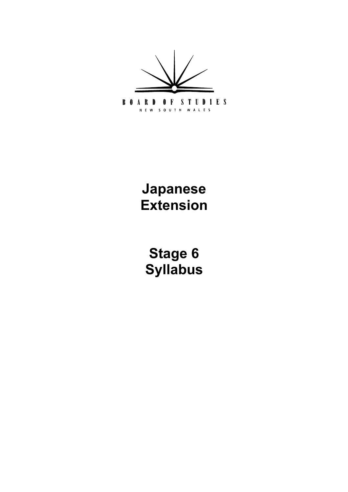

**Japanese Extension**

**[Stage 6](#page-5-0) Syllabus**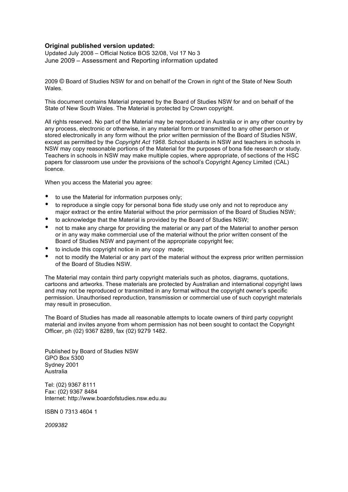#### **Original published version updated:**

 Updated July 2008 – Official Notice BOS 32/08, Vol 17 No 3 June 2009 – Assessment and Reporting information updated

 2009 © Board of Studies NSW for and on behalf of the Crown in right of the State of New South **Wales** 

 This document contains Material prepared by the Board of Studies NSW for and on behalf of the State of New South Wales. The Material is protected by Crown copyright.

 All rights reserved. No part of the Material may be reproduced in Australia or in any other country by any process, electronic or otherwise, in any material form or transmitted to any other person or stored electronically in any form without the prior written permission of the Board of Studies NSW, except as permitted by the *Copyright Act 1968*. School students in NSW and teachers in schools in NSW may copy reasonable portions of the Material for the purposes of bona fide research or study. Teachers in schools in NSW may make multiple copies, where appropriate, of sections of the HSC papers for classroom use under the provisions of the school's Copyright Agency Limited (CAL) licence.

When you access the Material you agree:

- • to use the Material for information purposes only;
- to reproduce a single copy for personal bona fide study use only and not to reproduce any major extract or the entire Material without the prior permission of the Board of Studies NSW;
- • to acknowledge that the Material is provided by the Board of Studies NSW;
- not to make any charge for providing the material or any part of the Material to another person or in any way make commercial use of the material without the prior written consent of the Board of Studies NSW and payment of the appropriate copyright fee;
- to include this copyright notice in any copy made;
- not to modify the Material or any part of the material without the express prior written permission of the Board of Studies NSW.

 The Material may contain third party copyright materials such as photos, diagrams, quotations, cartoons and artworks. These materials are protected by Australian and international copyright laws and may not be reproduced or transmitted in any format without the copyright owner's specific permission. Unauthorised reproduction, transmission or commercial use of such copyright materials may result in prosecution.

 The Board of Studies has made all reasonable attempts to locate owners of third party copyright material and invites anyone from whom permission has not been sought to contact the Copyright Officer, ph (02) 9367 8289, fax (02) 9279 1482.

 Published by Board of Studies NSW GPO Box 5300 Sydney 2001 Australia

 Tel: (02) 9367 8111 Fax: (02) 9367 8484 Internet: http://www.boardofstudies.nsw.edu.au

ISBN 0 7313 4604 1

*2009382*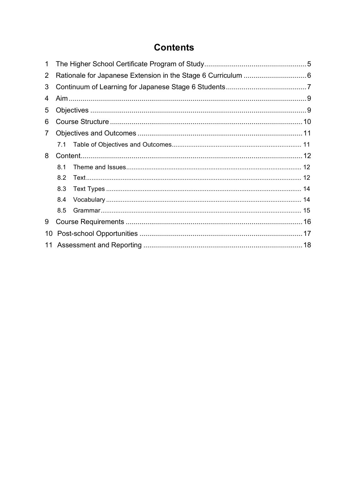# **Contents**

| 1              |     |  |  |  |  |
|----------------|-----|--|--|--|--|
| $\overline{2}$ |     |  |  |  |  |
| 3              |     |  |  |  |  |
| 4              |     |  |  |  |  |
| 5              |     |  |  |  |  |
| 6              |     |  |  |  |  |
| 7              |     |  |  |  |  |
|                |     |  |  |  |  |
| 8              |     |  |  |  |  |
|                | 81  |  |  |  |  |
|                | 8.2 |  |  |  |  |
|                | 8.3 |  |  |  |  |
|                | 8.4 |  |  |  |  |
|                | 8.5 |  |  |  |  |
| 9              |     |  |  |  |  |
| 10             |     |  |  |  |  |
| 11             |     |  |  |  |  |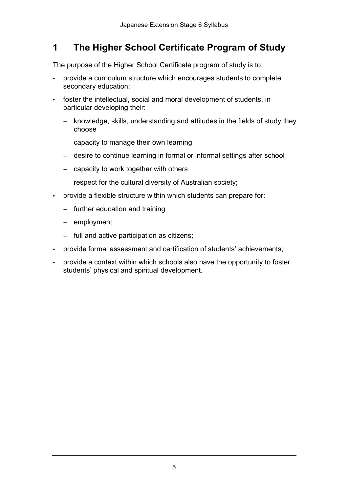#### <span id="page-4-0"></span> **The Higher School Certificate Program of Study 1**

The purpose of the Higher School Certificate program of study is to:

- provide a curriculum structure which encourages students to complete secondary education;
- foster the intellectual, social and moral development of students, in particular developing their:
	- − knowledge, skills, understanding and attitudes in the fields of study they choose
	- − capacity to manage their own learning
	- − desire to continue learning in formal or informal settings after school
	- − capacity to work together with others
	- − respect for the cultural diversity of Australian society;
- provide a flexible structure within which students can prepare for:
	- − further education and training
	- − employment
	- − full and active participation as citizens;
- provide formal assessment and certification of students' achievements;
- provide a context within which schools also have the opportunity to foster students' physical and spiritual development.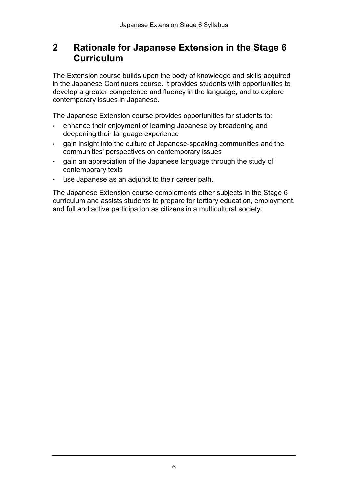#### <span id="page-5-0"></span>**2 Rationale for Japanese Extension in the Stage 6 Curriculum**

The Extension course builds upon the body of knowledge and skills acquired in the Japanese Continuers course. It provides students with opportunities to develop a greater competence and fluency in the language, and to explore contemporary issues in Japanese.

The Japanese Extension course provides opportunities for students to:

- enhance their enjoyment of learning Japanese by broadening and deepening their language experience
- • gain insight into the culture of Japanese-speaking communities and the communities' perspectives on contemporary issues
- gain an appreciation of the Japanese language through the study of contemporary texts
- use Japanese as an adjunct to their career path.

The Japanese Extension course complements other subjects in the Stage 6 curriculum and assists students to prepare for tertiary education, employment, and full and active participation as citizens in a multicultural society.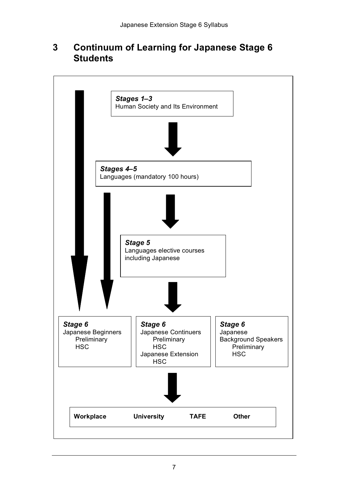#### **Continuum of Learning for Japanese Stage 6 3 Students**

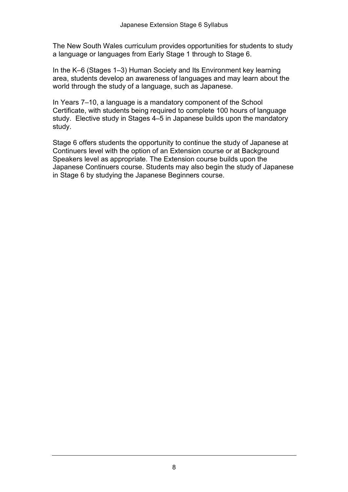The New South Wales curriculum provides opportunities for students to study a language or languages from Early Stage 1 through to Stage 6.

 In the K–6 (Stages 1–3) Human Society and Its Environment key learning area, students develop an awareness of languages and may learn about the world through the study of a language, such as Japanese.

 In Years 7–10, a language is a mandatory component of the School Certificate, with students being required to complete 100 hours of language study. Elective study in Stages 4–5 in Japanese builds upon the mandatory study.

 Stage 6 offers students the opportunity to continue the study of Japanese at Continuers level with the option of an Extension course or at Background Speakers level as appropriate. The Extension course builds upon the Japanese Continuers course. Students may also begin the study of Japanese in Stage 6 by studying the Japanese Beginners course.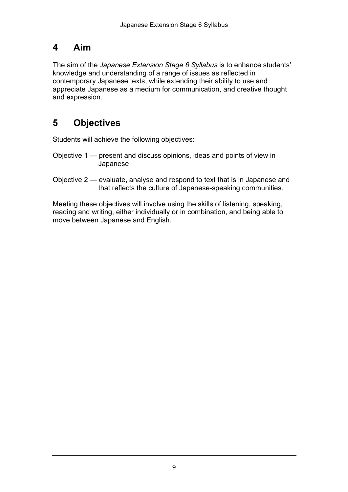## <span id="page-8-0"></span>**4 Aim**

 The aim of the *Japanese Extension Stage 6 Syllabus* is to enhance students' knowledge and understanding of a range of issues as reflected in contemporary Japanese texts, while extending their ability to use and appreciate Japanese as a medium for communication, and creative thought and expression.

# **5 Objectives**

Students will achieve the following objectives:

- Objective 1 present and discuss opinions, ideas and points of view in Japanese
- Objective 2 evaluate, analyse and respond to text that is in Japanese and that reflects the culture of Japanese-speaking communities.

 Meeting these objectives will involve using the skills of listening, speaking, reading and writing, either individually or in combination, and being able to move between Japanese and English.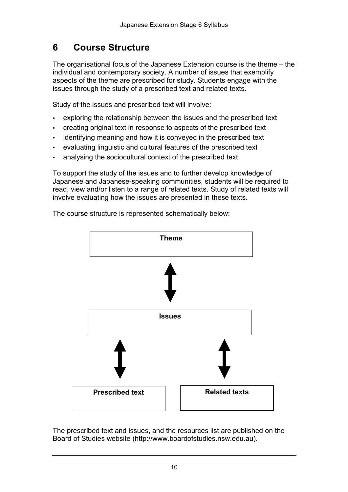#### <span id="page-9-0"></span>**6 Course Structure**

The organisational focus of the Japanese Extension course is the theme – the individual and contemporary society. A number of issues that exemplify aspects of the theme are prescribed for study. Students engage with the issues through the study of a prescribed text and related texts.

Study of the issues and prescribed text will involve:

- exploring the relationship between the issues and the prescribed text
- creating original text in response to aspects of the prescribed text
- identifying meaning and how it is conveyed in the prescribed text
- evaluating linguistic and cultural features of the prescribed text
- analysing the sociocultural context of the prescribed text.

To support the study of the issues and to further develop knowledge of Japanese and Japanese-speaking communities, students will be required to read, view and/or listen to a range of related texts. Study of related texts will involve evaluating how the issues are presented in these texts.

The course structure is represented schematically below:



 The prescribed text and issues, and the resources list are published on the Board of Studies website (http://www.boardofstudies.nsw.edu.au).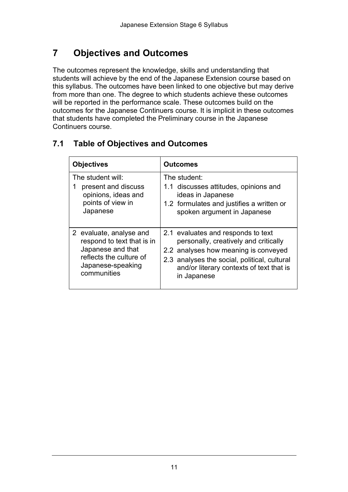# **7 Objectives and Outcomes**

 The outcomes represent the knowledge, skills and understanding that students will achieve by the end of the Japanese Extension course based on this syllabus. The outcomes have been linked to one objective but may derive from more than one. The degree to which students achieve these outcomes will be reported in the performance scale. These outcomes build on the outcomes for the Japanese Continuers course. It is implicit in these outcomes that students have completed the Preliminary course in the Japanese Continuers course.

| <b>Objectives</b>                                                                                                                         | <b>Outcomes</b>                                                                                                                                                                                                                |
|-------------------------------------------------------------------------------------------------------------------------------------------|--------------------------------------------------------------------------------------------------------------------------------------------------------------------------------------------------------------------------------|
| The student will:<br>present and discuss<br>1<br>opinions, ideas and<br>points of view in<br>Japanese                                     | The student:<br>1.1 discusses attitudes, opinions and<br>ideas in Japanese<br>1.2 formulates and justifies a written or<br>spoken argument in Japanese                                                                         |
| 2 evaluate, analyse and<br>respond to text that is in<br>Japanese and that<br>reflects the culture of<br>Japanese-speaking<br>communities | 2.1 evaluates and responds to text<br>personally, creatively and critically<br>2.2 analyses how meaning is conveyed<br>2.3 analyses the social, political, cultural<br>and/or literary contexts of text that is<br>in Japanese |

### **7.1 Table of Objectives and Outcomes**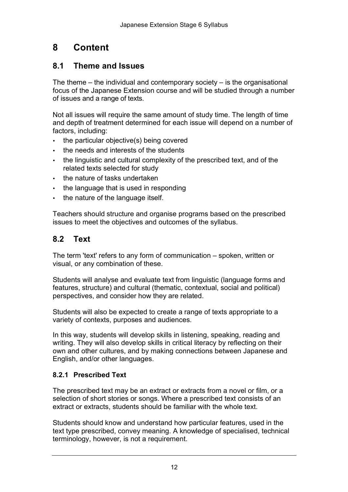# <span id="page-11-0"></span>**8 Content**

### **8.1 Theme and Issues**

 The theme – the individual and contemporary society – is the organisational focus of the Japanese Extension course and will be studied through a number of issues and a range of texts.

 Not all issues will require the same amount of study time. The length of time and depth of treatment determined for each issue will depend on a number of factors, including:

- • the particular objective(s) being covered
- • the needs and interests of the students
- • the linguistic and cultural complexity of the prescribed text, and of the related texts selected for study
- • the nature of tasks undertaken
- the language that is used in responding
- • the nature of the language itself.

 Teachers should structure and organise programs based on the prescribed issues to meet the objectives and outcomes of the syllabus.

## **8.2 Text**

 The term 'text' refers to any form of communication – spoken, written or visual, or any combination of these.

 Students will analyse and evaluate text from linguistic (language forms and features, structure) and cultural (thematic, contextual, social and political) perspectives, and consider how they are related.

 Students will also be expected to create a range of texts appropriate to a variety of contexts, purposes and audiences.

 In this way, students will develop skills in listening, speaking, reading and writing. They will also develop skills in critical literacy by reflecting on their own and other cultures, and by making connections between Japanese and English, and/or other languages.

#### **8.2.1 Prescribed Text**

 The prescribed text may be an extract or extracts from a novel or film, or a selection of short stories or songs. Where a prescribed text consists of an extract or extracts, students should be familiar with the whole text.

 Students should know and understand how particular features, used in the text type prescribed, convey meaning. A knowledge of specialised, technical terminology, however, is not a requirement.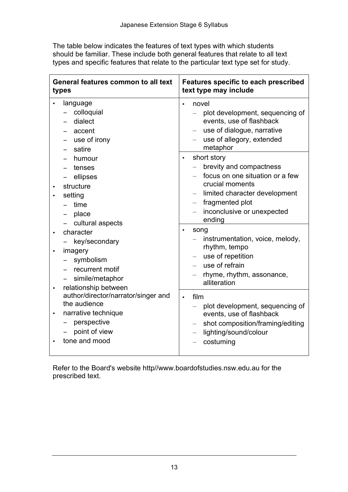The table below indicates the features of text types with which students should be familiar. These include both general features that relate to all text types and specific features that relate to the particular text type set for study.

| General features common to all text<br>types                                                                                                                                                                                                                                                        | <b>Features specific to each prescribed</b><br>text type may include                                                                                                                                  |
|-----------------------------------------------------------------------------------------------------------------------------------------------------------------------------------------------------------------------------------------------------------------------------------------------------|-------------------------------------------------------------------------------------------------------------------------------------------------------------------------------------------------------|
| language<br>colloquial<br>dialect<br>accent<br>use of irony<br>satire                                                                                                                                                                                                                               | novel<br>plot development, sequencing of<br>events, use of flashback<br>use of dialogue, narrative<br>use of allegory, extended<br>metaphor                                                           |
| humour<br>tenses<br>ellipses<br>structure<br>setting<br>time<br>place<br>cultural aspects                                                                                                                                                                                                           | short story<br>$\bullet$<br>brevity and compactness<br>focus on one situation or a few<br>crucial moments<br>limited character development<br>fragmented plot<br>inconclusive or unexpected<br>ending |
| character<br>$\bullet$<br>key/secondary<br>imagery<br>$\bullet$<br>symbolism<br>recurrent motif<br>simile/metaphor<br>relationship between<br>$\bullet$<br>author/director/narrator/singer and<br>the audience<br>narrative technique<br>$\bullet$<br>perspective<br>point of view<br>tone and mood | song<br>$\bullet$<br>instrumentation, voice, melody,<br>rhythm, tempo<br>use of repetition<br>use of refrain<br>rhyme, rhythm, assonance,<br>alliteration                                             |
|                                                                                                                                                                                                                                                                                                     | film<br>$\bullet$<br>plot development, sequencing of<br>events, use of flashback<br>shot composition/framing/editing<br>lighting/sound/colour<br>costuming                                            |

 Refer to the Board's website http//www.boardofstudies.nsw.edu.au for the prescribed text.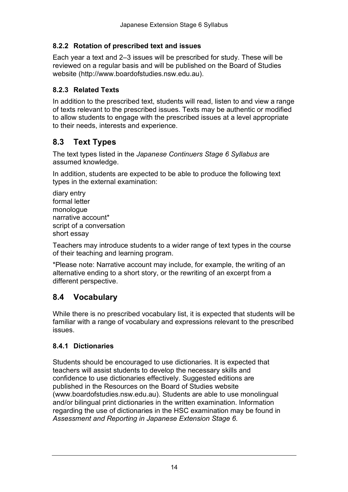#### <span id="page-13-0"></span> **8.2.2 Rotation of prescribed text and issues**

 Each year a text and 2–3 issues will be prescribed for study. These will be reviewed on a regular basis and will be published on the Board of Studies website (http://www.boardofstudies.nsw.edu.au).

#### **8.2.3 Related Texts**

 In addition to the prescribed text, students will read, listen to and view a range of texts relevant to the prescribed issues. Texts may be authentic or modified to allow students to engage with the prescribed issues at a level appropriate to their needs, interests and experience.

## **8.3 Text Types**

 The text types listed in the *Japanese Continuers Stage 6 Syllabus* are assumed knowledge.

 In addition, students are expected to be able to produce the following text types in the external examination:

 script of a conversation diary entry formal letter monologue narrative account\* short essay

 Teachers may introduce students to a wider range of text types in the course of their teaching and learning program.

 \*Please note: Narrative account may include, for example, the writing of an alternative ending to a short story, or the rewriting of an excerpt from a different perspective.

### **8.4 Vocabulary**

 While there is no prescribed vocabulary list, it is expected that students will be familiar with a range of vocabulary and expressions relevant to the prescribed issues.

#### **8.4.1 Dictionaries**

 Students should be encouraged to use dictionaries. It is expected that teachers will assist students to develop the necessary skills and confidence to use dictionaries effectively. Suggested editions are published in the Resources on the Board of Studies website (www.boardofstudies.nsw.edu.au). Students are able to use monolingual and/or bilingual print dictionaries in the written examination. Information regarding the use of dictionaries in the HSC examination may be found in  *Assessment and Reporting in Japanese Extension Stage 6.*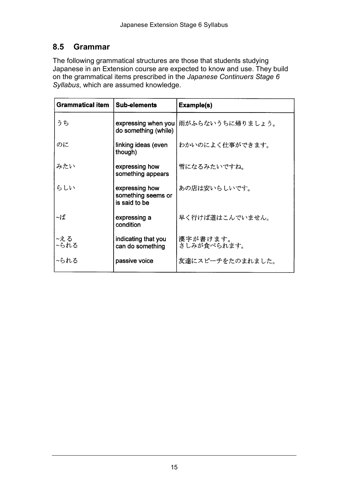## <span id="page-14-0"></span>**8.5 Grammar**

 The following grammatical structures are those that students studying Japanese in an Extension course are expected to know and use. They build on the grammatical items prescribed in the *Japanese Continuers Stage 6 Syllabus*, which are assumed knowledge.

| <b>Grammatical item</b> | <b>Sub-elements</b>                                   | Example(s)              |
|-------------------------|-------------------------------------------------------|-------------------------|
| うち                      | expressing when you<br>do something (while)           | 雨がふらないうちに帰りましょう。        |
| のに                      | linking ideas (even<br>though)                        | わかいのによく仕事ができます。         |
| みたい                     | expressing how<br>something appears                   | 雪になるみたいですね。             |
| らしい                     | expressing how<br>something seems or<br>is said to be | あの店は安いらしいです。            |
| 〜ば                      | expressing a<br>condition                             | 早く行けば道はこんでいません。         |
| ~える<br>~られる             | indicating that you<br>can do something               | 漢字が書けます。<br>さしみが食べられます。 |
| ~られる                    | passive voice                                         | 友達にスピーチをたのまれました。        |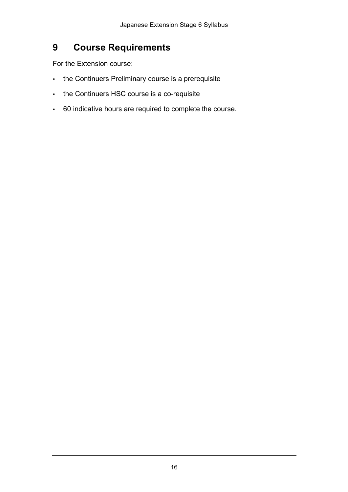#### <span id="page-15-0"></span>**9 Course Requirements**

For the Extension course:

- the Continuers Preliminary course is a prerequisite
- the Continuers HSC course is a co-requisite
- 60 indicative hours are required to complete the course.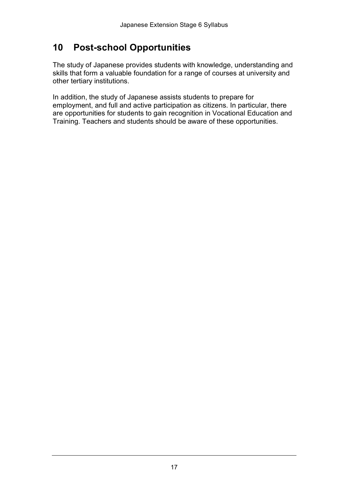## <span id="page-16-0"></span>**10 Post-school Opportunities**

 The study of Japanese provides students with knowledge, understanding and skills that form a valuable foundation for a range of courses at university and other tertiary institutions.

 In addition, the study of Japanese assists students to prepare for employment, and full and active participation as citizens. In particular, there are opportunities for students to gain recognition in Vocational Education and Training. Teachers and students should be aware of these opportunities.